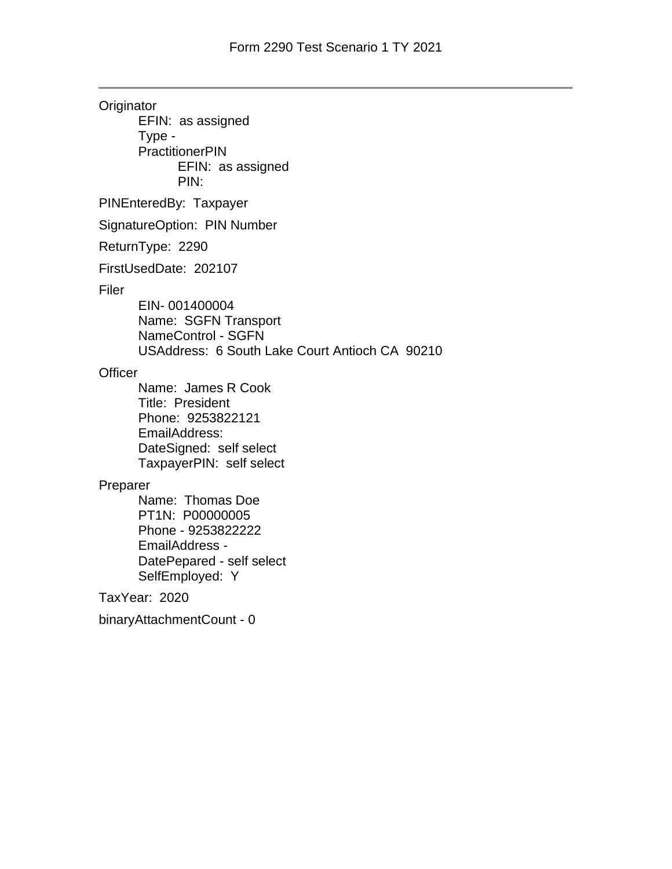**Originator** EFIN: as assigned Type - **PractitionerPIN** EFIN: as assigned PIN: PINEnteredBy: Taxpayer SignatureOption: PIN Number ReturnType: 2290 FirstUsedDate: 202107 Filer EIN- 001400004 Name: SGFN Transport NameControl - SGFN USAddress: 6 South Lake Court Antioch CA 90210 **Officer** Name: James R Cook Title: President Phone: 9253822121 EmailAddress: DateSigned: self select TaxpayerPIN: self select Preparer Name: Thomas Doe PT1N: P00000005 Phone - 9253822222 EmailAddress - DatePepared - self select SelfEmployed: Y TaxYear: 2020 binaryAttachmentCount - 0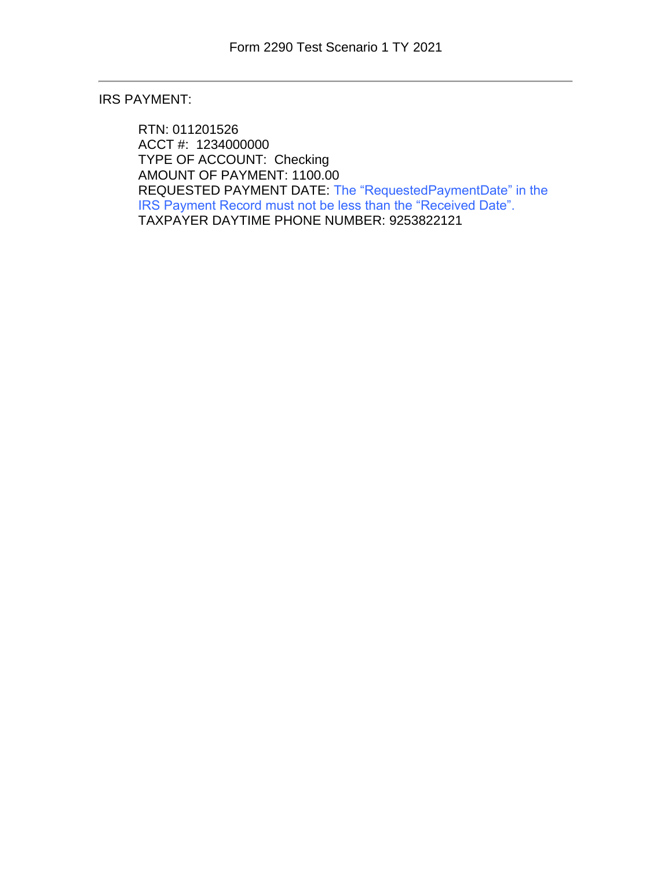## IRS PAYMENT:

RTN: 011201526 ACCT #: 1234000000 TYPE OF ACCOUNT: Checking AMOUNT OF PAYMENT: 1100.00 REQUESTED PAYMENT DATE: The "RequestedPaymentDate" in the IRS Payment Record must not be less than the "Received Date". TAXPAYER DAYTIME PHONE NUMBER: 9253822121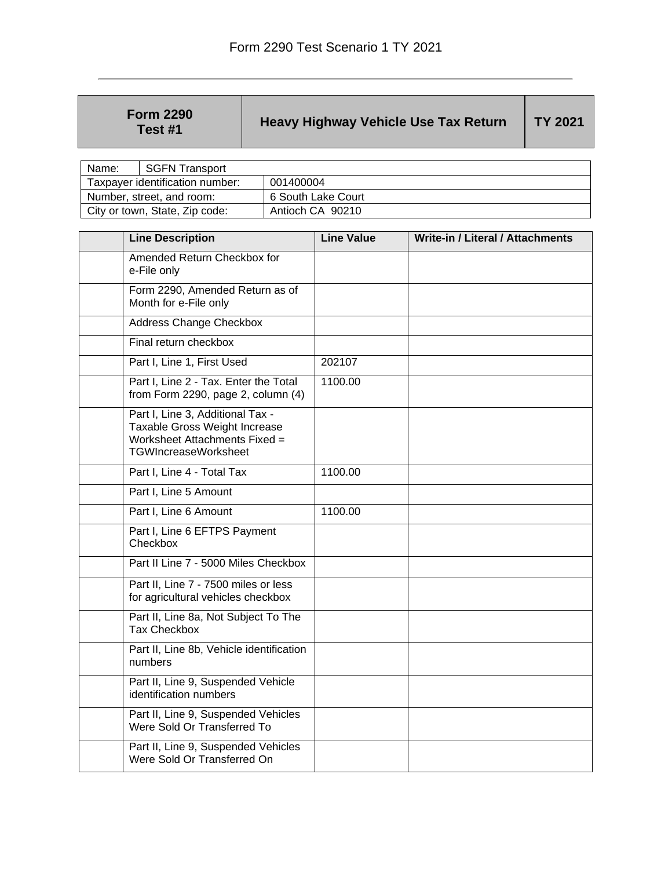| <b>Form 2290</b> |
|------------------|
| Test #1          |

## **Heavy Highway Vehicle Use Tax Return** TY 2021

| Name:                           | <b>SGFN Transport</b> |                    |
|---------------------------------|-----------------------|--------------------|
| Taxpayer identification number: |                       | 001400004          |
| Number, street, and room:       |                       | 6 South Lake Court |
| City or town, State, Zip code:  |                       | Antioch CA 90210   |

| <b>Line Description</b>                                                                                                           | <b>Line Value</b> | Write-in / Literal / Attachments |
|-----------------------------------------------------------------------------------------------------------------------------------|-------------------|----------------------------------|
| Amended Return Checkbox for<br>e-File only                                                                                        |                   |                                  |
| Form 2290, Amended Return as of<br>Month for e-File only                                                                          |                   |                                  |
| <b>Address Change Checkbox</b>                                                                                                    |                   |                                  |
| Final return checkbox                                                                                                             |                   |                                  |
| Part I, Line 1, First Used                                                                                                        | 202107            |                                  |
| Part I, Line 2 - Tax. Enter the Total<br>from Form 2290, page 2, column $(4)$                                                     | 1100.00           |                                  |
| Part I, Line 3, Additional Tax -<br>Taxable Gross Weight Increase<br>Worksheet Attachments Fixed =<br><b>TGWIncreaseWorksheet</b> |                   |                                  |
| Part I, Line 4 - Total Tax                                                                                                        | 1100.00           |                                  |
| Part I, Line 5 Amount                                                                                                             |                   |                                  |
| Part I, Line 6 Amount                                                                                                             | 1100.00           |                                  |
| Part I, Line 6 EFTPS Payment<br>Checkbox                                                                                          |                   |                                  |
| Part II Line 7 - 5000 Miles Checkbox                                                                                              |                   |                                  |
| Part II, Line 7 - 7500 miles or less<br>for agricultural vehicles checkbox                                                        |                   |                                  |
| Part II, Line 8a, Not Subject To The<br><b>Tax Checkbox</b>                                                                       |                   |                                  |
| Part II, Line 8b, Vehicle identification<br>numbers                                                                               |                   |                                  |
| Part II, Line 9, Suspended Vehicle<br>identification numbers                                                                      |                   |                                  |
| Part II, Line 9, Suspended Vehicles<br>Were Sold Or Transferred To                                                                |                   |                                  |
| Part II, Line 9, Suspended Vehicles<br>Were Sold Or Transferred On                                                                |                   |                                  |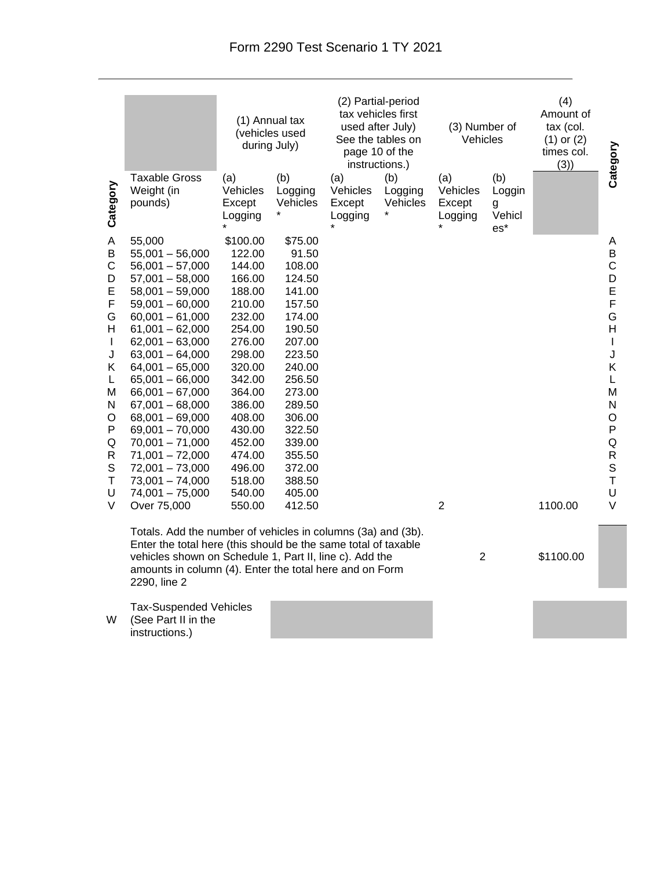|                                                                                                                                 |                                                                                                                                                                                                                                                                                                                                                                                                                                                           | (1) Annual tax<br>(vehicles used<br>during July)                                                                                                                                                                           |                                                                                                                                                                                                                          | (2) Partial-period<br>tax vehicles first<br>used after July)<br>See the tables on<br>page 10 of the<br>instructions.) |                            | (3) Number of<br>Vehicles            |                                       | (4)<br>Amount of<br>tax (col.<br>$(1)$ or $(2)$<br>times col.<br>(3) | Category                                                                                                                                                |
|---------------------------------------------------------------------------------------------------------------------------------|-----------------------------------------------------------------------------------------------------------------------------------------------------------------------------------------------------------------------------------------------------------------------------------------------------------------------------------------------------------------------------------------------------------------------------------------------------------|----------------------------------------------------------------------------------------------------------------------------------------------------------------------------------------------------------------------------|--------------------------------------------------------------------------------------------------------------------------------------------------------------------------------------------------------------------------|-----------------------------------------------------------------------------------------------------------------------|----------------------------|--------------------------------------|---------------------------------------|----------------------------------------------------------------------|---------------------------------------------------------------------------------------------------------------------------------------------------------|
| Category                                                                                                                        | <b>Taxable Gross</b><br>Weight (in<br>pounds)                                                                                                                                                                                                                                                                                                                                                                                                             | (a)<br>Vehicles<br>Except<br>Logging                                                                                                                                                                                       | (b)<br>Logging<br>Vehicles                                                                                                                                                                                               | (a)<br>Vehicles<br>Except<br>Logging                                                                                  | (b)<br>Logging<br>Vehicles | (a)<br>Vehicles<br>Except<br>Logging | (b)<br>Loggin<br>g<br>Vehicl<br>$es*$ |                                                                      |                                                                                                                                                         |
| A<br>B<br>C<br>D<br>E<br>F<br>G<br>н<br>$\mathbf{I}$<br>J<br>Κ<br>L<br>М<br>N<br>O<br>P<br>Q<br>R<br>$\mathbb S$<br>Τ<br>U<br>V | 55,000<br>$55,001 - 56,000$<br>$56,001 - 57,000$<br>$57,001 - 58,000$<br>$58,001 - 59,000$<br>$59,001 - 60,000$<br>$60,001 - 61,000$<br>$61,001 - 62,000$<br>$62,001 - 63,000$<br>$63,001 - 64,000$<br>$64,001 - 65,000$<br>$65,001 - 66,000$<br>$66,001 - 67,000$<br>$67,001 - 68,000$<br>$68,001 - 69,000$<br>$69,001 - 70,000$<br>$70,001 - 71,000$<br>$71,001 - 72,000$<br>$72,001 - 73,000$<br>$73,001 - 74,000$<br>$74,001 - 75,000$<br>Over 75,000 | \$100.00<br>122.00<br>144.00<br>166.00<br>188.00<br>210.00<br>232.00<br>254.00<br>276.00<br>298.00<br>320.00<br>342.00<br>364.00<br>386.00<br>408.00<br>430.00<br>452.00<br>474.00<br>496.00<br>518.00<br>540.00<br>550.00 | \$75.00<br>91.50<br>108.00<br>124.50<br>141.00<br>157.50<br>174.00<br>190.50<br>207.00<br>223.50<br>240.00<br>256.50<br>273.00<br>289.50<br>306.00<br>322.50<br>339.00<br>355.50<br>372.00<br>388.50<br>405.00<br>412.50 |                                                                                                                       |                            | $\overline{2}$                       |                                       | 1100.00                                                              | Α<br>B<br>$\mathsf C$<br>D<br>E<br>F<br>G<br>H<br>$\mathsf I$<br>J<br>Κ<br>L<br>M<br>N<br>$\mathsf O$<br>P<br>Q<br>R<br>S<br>$\mathsf T$<br>U<br>$\vee$ |
|                                                                                                                                 | Totals. Add the number of vehicles in columns (3a) and (3b).<br>Enter the total here (this should be the same total of taxable<br>vehicles shown on Schedule 1, Part II, line c). Add the<br>amounts in column (4). Enter the total here and on Form<br>2290, line 2                                                                                                                                                                                      |                                                                                                                                                                                                                            |                                                                                                                                                                                                                          |                                                                                                                       | $\overline{2}$             |                                      | \$1100.00                             |                                                                      |                                                                                                                                                         |

Tax-Suspended Vehicles (See Part II in the instructions.)

W